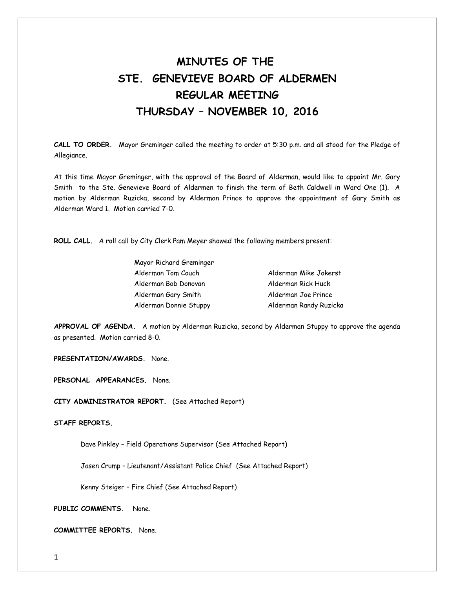## **MINUTES OF THE STE. GENEVIEVE BOARD OF ALDERMEN REGULAR MEETING THURSDAY – NOVEMBER 10, 2016**

**CALL TO ORDER.** Mayor Greminger called the meeting to order at 5:30 p.m. and all stood for the Pledge of Allegiance.

At this time Mayor Greminger, with the approval of the Board of Alderman, would like to appoint Mr. Gary Smith to the Ste. Genevieve Board of Aldermen to finish the term of Beth Caldwell in Ward One (1). A motion by Alderman Ruzicka, second by Alderman Prince to approve the appointment of Gary Smith as Alderman Ward 1. Motion carried 7-0.

**ROLL CALL.** A roll call by City Clerk Pam Meyer showed the following members present:

| Mayor Richard Greminger |                        |
|-------------------------|------------------------|
| Alderman Tom Couch      | Alderman Mike Jokerst  |
| Alderman Bob Donovan    | Alderman Rick Huck     |
| Alderman Gary Smith     | Alderman Joe Prince    |
| Alderman Donnie Stuppy  | Alderman Randy Ruzicka |

**APPROVAL OF AGENDA.** A motion by Alderman Ruzicka, second by Alderman Stuppy to approve the agenda as presented. Motion carried 8-0.

**PRESENTATION/AWARDS.** None.

**PERSONAL APPEARANCES.** None.

**CITY ADMINISTRATOR REPORT.** (See Attached Report)

**STAFF REPORTS.** 

Dave Pinkley – Field Operations Supervisor (See Attached Report)

Jasen Crump – Lieutenant/Assistant Police Chief (See Attached Report)

Kenny Steiger – Fire Chief (See Attached Report)

**PUBLIC COMMENTS.** None.

**COMMITTEE REPORTS.** None.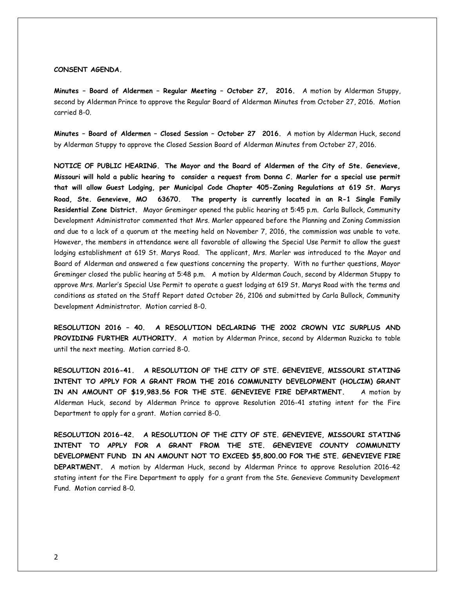## **CONSENT AGENDA.**

**Minutes – Board of Aldermen – Regular Meeting – October 27, 2016.** A motion by Alderman Stuppy, second by Alderman Prince to approve the Regular Board of Alderman Minutes from October 27, 2016. Motion carried 8-0.

**Minutes – Board of Aldermen – Closed Session – October 27 2016.** A motion by Alderman Huck, second by Alderman Stuppy to approve the Closed Session Board of Alderman Minutes from October 27, 2016.

**NOTICE OF PUBLIC HEARING. The Mayor and the Board of Aldermen of the City of Ste. Genevieve, Missouri will hold a public hearing to consider a request from Donna C. Marler for a special use permit that will allow Guest Lodging, per Municipal Code Chapter 405-Zoning Regulations at 619 St. Marys Road, Ste. Genevieve, MO 63670. The property is currently located in an R-1 Single Family Residential Zone District.** Mayor Greminger opened the public hearing at 5:45 p.m. Carla Bullock, Community Development Administrator commented that Mrs. Marler appeared before the Planning and Zoning Commission and due to a lack of a quorum at the meeting held on November 7, 2016, the commission was unable to vote. However, the members in attendance were all favorable of allowing the Special Use Permit to allow the guest lodging establishment at 619 St. Marys Road. The applicant, Mrs. Marler was introduced to the Mayor and Board of Alderman and answered a few questions concerning the property. With no further questions, Mayor Greminger closed the public hearing at 5:48 p.m. A motion by Alderman Couch, second by Alderman Stuppy to approve Mrs. Marler's Special Use Permit to operate a guest lodging at 619 St. Marys Road with the terms and conditions as stated on the Staff Report dated October 26, 2106 and submitted by Carla Bullock, Community Development Administrator. Motion carried 8-0.

**RESOLUTION 2016 – 40. A RESOLUTION DECLARING THE 2002 CROWN VIC SURPLUS AND PROVIDING FURTHER AUTHORITY.** A motion by Alderman Prince, second by Alderman Ruzicka to table until the next meeting. Motion carried 8-0.

**RESOLUTION 2016-41. A RESOLUTION OF THE CITY OF STE. GENEVIEVE, MISSOURI STATING INTENT TO APPLY FOR A GRANT FROM THE 2016 COMMUNITY DEVELOPMENT (HOLCIM) GRANT IN AN AMOUNT OF \$19,983.56 FOR THE STE. GENEVIEVE FIRE DEPARTMENT.** A motion by Alderman Huck, second by Alderman Prince to approve Resolution 2016-41 stating intent for the Fire Department to apply for a grant. Motion carried 8-0.

**RESOLUTION 2016-42. A RESOLUTION OF THE CITY OF STE. GENEVIEVE, MISSOURI STATING INTENT TO APPLY FOR A GRANT FROM THE STE. GENEVIEVE COUNTY COMMUNITY DEVELOPMENT FUND IN AN AMOUNT NOT TO EXCEED \$5,800.00 FOR THE STE. GENEVIEVE FIRE DEPARTMENT.** A motion by Alderman Huck, second by Alderman Prince to approve Resolution 2016-42 stating intent for the Fire Department to apply for a grant from the Ste. Genevieve Community Development Fund. Motion carried 8-0.